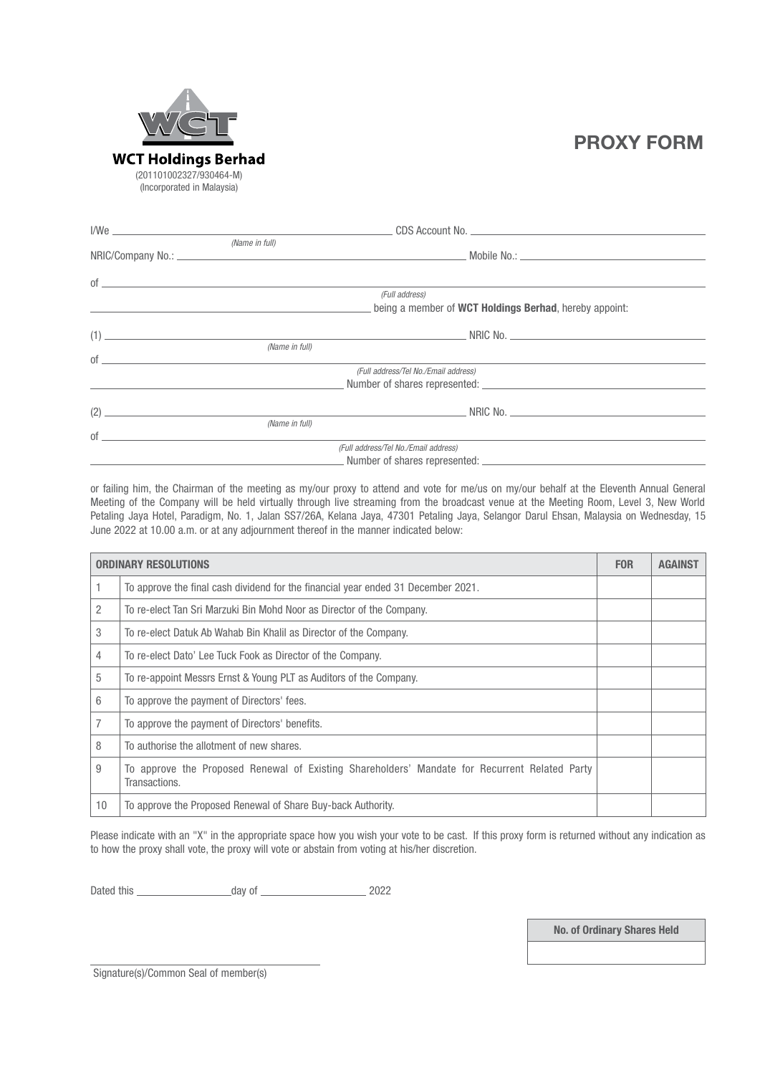

# PROXY FORM

| (Name in full)                |                                                                |  |
|-------------------------------|----------------------------------------------------------------|--|
|                               |                                                                |  |
|                               |                                                                |  |
| $of$ $\overline{\phantom{a}}$ | (Full address)                                                 |  |
|                               | being a member of <b>WCT Holdings Berhad</b> , hereby appoint: |  |
|                               |                                                                |  |
| (Name in full)                |                                                                |  |
| $of$ $\overline{\phantom{a}}$ |                                                                |  |
|                               | (Full address/Tel No./Email address)                           |  |
|                               |                                                                |  |
|                               | $(2)$ NRIC No.                                                 |  |
|                               |                                                                |  |
|                               |                                                                |  |
|                               | (Full address/Tel No./Email address)                           |  |
|                               |                                                                |  |

or failing him, the Chairman of the meeting as my/our proxy to attend and vote for me/us on my/our behalf at the Eleventh Annual General Meeting of the Company will be held virtually through live streaming from the broadcast venue at the Meeting Room, Level 3, New World Petaling Jaya Hotel, Paradigm, No. 1, Jalan SS7/26A, Kelana Jaya, 47301 Petaling Jaya, Selangor Darul Ehsan, Malaysia on Wednesday, 15 June 2022 at 10.00 a.m. or at any adjournment thereof in the manner indicated below:

| <b>ORDINARY RESOLUTIONS</b> |                                                                                                                | <b>FOR</b> | <b>AGAINST</b> |
|-----------------------------|----------------------------------------------------------------------------------------------------------------|------------|----------------|
|                             | To approve the final cash dividend for the financial year ended 31 December 2021.                              |            |                |
| 2                           | To re-elect Tan Sri Marzuki Bin Mohd Noor as Director of the Company.                                          |            |                |
| 3                           | To re-elect Datuk Ab Wahab Bin Khalil as Director of the Company.                                              |            |                |
| 4                           | To re-elect Dato' Lee Tuck Fook as Director of the Company.                                                    |            |                |
| 5                           | To re-appoint Messrs Ernst & Young PLT as Auditors of the Company.                                             |            |                |
| 6                           | To approve the payment of Directors' fees.                                                                     |            |                |
|                             | To approve the payment of Directors' benefits.                                                                 |            |                |
| 8                           | To authorise the allotment of new shares.                                                                      |            |                |
| 9                           | To approve the Proposed Renewal of Existing Shareholders' Mandate for Recurrent Related Party<br>Transactions. |            |                |
| 10                          | To approve the Proposed Renewal of Share Buy-back Authority.                                                   |            |                |

Please indicate with an "X" in the appropriate space how you wish your vote to be cast. If this proxy form is returned without any indication as to how the proxy shall vote, the proxy will vote or abstain from voting at his/her discretion.

Dated this day of 2022

No. of Ordinary Shares Held

Signature(s)/Common Seal of member(s)

 $\overline{a}$